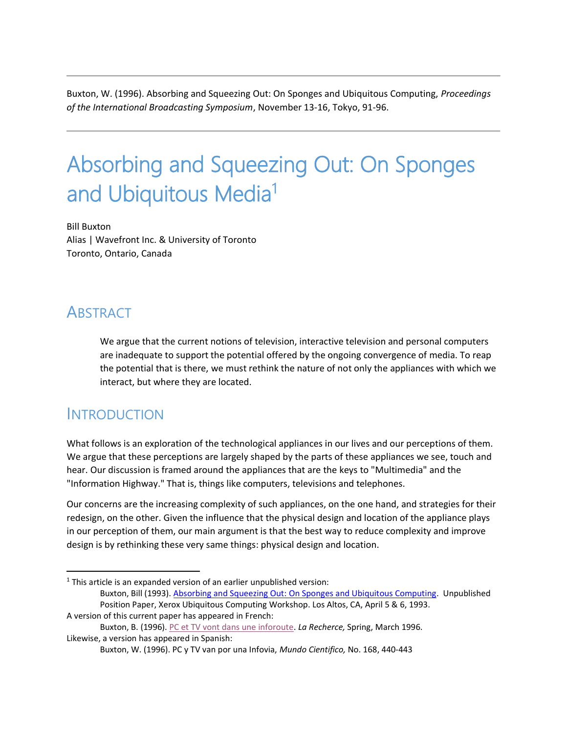Buxton, W. (1996). Absorbing and Squeezing Out: On Sponges and Ubiquitous Computing, *Proceedings of the International Broadcasting Symposium*, November 13-16, Tokyo, 91-96.

# Absorbing and Squeezing Out: On Sponges and Ubiquitous Media<sup>1</sup>

Bill Buxton Alias | Wavefront Inc. & University of Toronto Toronto, Ontario, Canada

#### **ABSTRACT**

We argue that the current notions of television, interactive television and personal computers are inadequate to support the potential offered by the ongoing convergence of media. To reap the potential that is there, we must rethink the nature of not only the appliances with which we interact, but where they are located.

#### **INTRODUCTION**

 $\overline{a}$ 

What follows is an exploration of the technological appliances in our lives and our perceptions of them. We argue that these perceptions are largely shaped by the parts of these appliances we see, touch and hear. Our discussion is framed around the appliances that are the keys to "Multimedia" and the "Information Highway." That is, things like computers, televisions and telephones.

Our concerns are the increasing complexity of such appliances, on the one hand, and strategies for their redesign, on the other. Given the influence that the physical design and location of the appliance plays in our perception of them, our main argument is that the best way to reduce complexity and improve design is by rethinking these very same things: physical design and location.

 $1$  This article is an expanded version of an earlier unpublished version: Buxton, Bill (1993). [Absorbing and Squeezing Out: On Sponges and Ubiquitous Computing.](http://billbuxton.com/sponges1993.pdf) Unpublished Position Paper, Xerox Ubiquitous Computing Workshop. Los Altos, CA, April 5 & 6, 1993. A version of this current paper has appeared in French:

Buxton, B. (1996). [PC et TV vont dans une inforoute.](http://www.larecherche.fr/savoirs/dossier/pc-tv-vont-inforoute-01-03-1996-87785) *La Recherce,* Spring, March 1996. Likewise, a version has appeared in Spanish:

Buxton, W. (1996). PC y TV van por una Infovia, *Mundo Cientifico,* No. 168, 440-443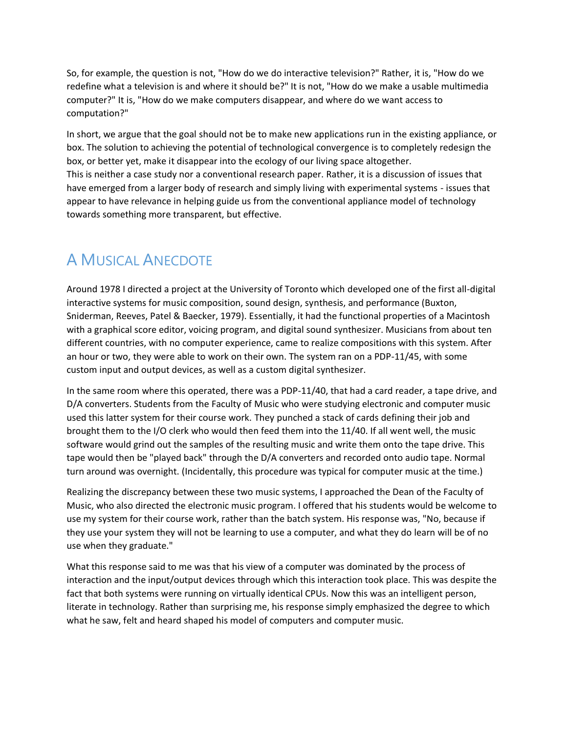So, for example, the question is not, "How do we do interactive television?" Rather, it is, "How do we redefine what a television is and where it should be?" It is not, "How do we make a usable multimedia computer?" It is, "How do we make computers disappear, and where do we want access to computation?"

In short, we argue that the goal should not be to make new applications run in the existing appliance, or box. The solution to achieving the potential of technological convergence is to completely redesign the box, or better yet, make it disappear into the ecology of our living space altogether. This is neither a case study nor a conventional research paper. Rather, it is a discussion of issues that have emerged from a larger body of research and simply living with experimental systems - issues that appear to have relevance in helping guide us from the conventional appliance model of technology towards something more transparent, but effective.

#### A MUSICAL ANECDOTE

Around 1978 I directed a project at the University of Toronto which developed one of the first all-digital interactive systems for music composition, sound design, synthesis, and performance (Buxton, Sniderman, Reeves, Patel & Baecker, 1979). Essentially, it had the functional properties of a Macintosh with a graphical score editor, voicing program, and digital sound synthesizer. Musicians from about ten different countries, with no computer experience, came to realize compositions with this system. After an hour or two, they were able to work on their own. The system ran on a PDP-11/45, with some custom input and output devices, as well as a custom digital synthesizer.

In the same room where this operated, there was a PDP-11/40, that had a card reader, a tape drive, and D/A converters. Students from the Faculty of Music who were studying electronic and computer music used this latter system for their course work. They punched a stack of cards defining their job and brought them to the I/O clerk who would then feed them into the 11/40. If all went well, the music software would grind out the samples of the resulting music and write them onto the tape drive. This tape would then be "played back" through the D/A converters and recorded onto audio tape. Normal turn around was overnight. (Incidentally, this procedure was typical for computer music at the time.)

Realizing the discrepancy between these two music systems, I approached the Dean of the Faculty of Music, who also directed the electronic music program. I offered that his students would be welcome to use my system for their course work, rather than the batch system. His response was, "No, because if they use your system they will not be learning to use a computer, and what they do learn will be of no use when they graduate."

What this response said to me was that his view of a computer was dominated by the process of interaction and the input/output devices through which this interaction took place. This was despite the fact that both systems were running on virtually identical CPUs. Now this was an intelligent person, literate in technology. Rather than surprising me, his response simply emphasized the degree to which what he saw, felt and heard shaped his model of computers and computer music.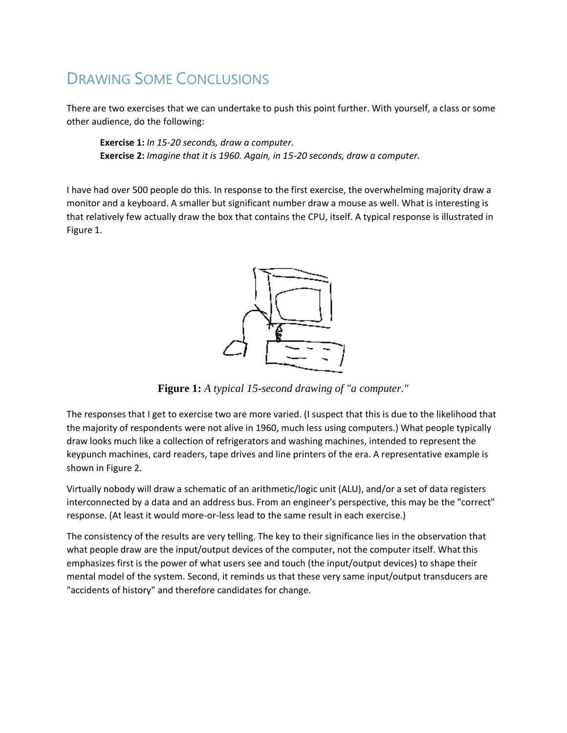## DRAWING SOME CONCLUSIONS

There are two exercises that we can undertake to push this point further. With yourself, a class or some other audience, do the following:

**Exercise 1:** *In 15-20 seconds, draw a computer.* **Exercise 2:** *Imagine that it is 1960. Again, in 15-20 seconds, draw a computer.*

I have had over 500 people do this. In response to the first exercise, the overwhelming majority draw a monitor and a keyboard. A smaller but significant number draw a mouse as well. What is interesting is that relatively few actually draw the box that contains the CPU, itself. A typical response is illustrated in Figure 1.



**Figure 1:** *A typical 15-second drawing of "a computer."*

The responses that I get to exercise two are more varied. (I suspect that this is due to the likelihood that the majority of respondents were not alive in 1960, much less using computers.) What people typically draw looks much like a collection of refrigerators and washing machines, intended to represent the keypunch machines, card readers, tape drives and line printers of the era. A representative example is shown in Figure 2.

Virtually nobody will draw a schematic of an arithmetic/logic unit (ALU), and/or a set of data registers interconnected by a data and an address bus. From an engineer's perspective, this may be the "correct" response. (At least it would more-or-less lead to the same result in each exercise.)

The consistency of the results are very telling. The key to their significance lies in the observation that what people draw are the input/output devices of the computer, not the computer itself. What this emphasizes first is the power of what users see and touch (the input/output devices) to shape their mental model of the system. Second, it reminds us that these very same input/output transducers are "accidents of history" and therefore candidates for change.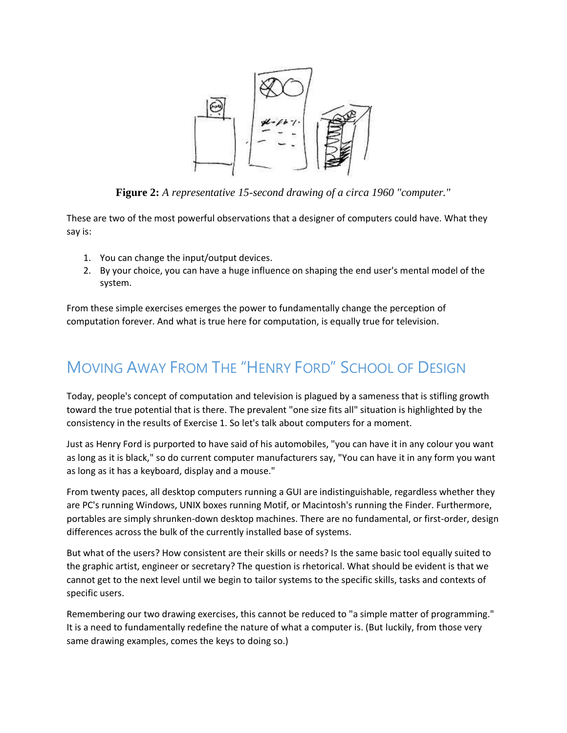

**Figure 2:** *A representative 15-second drawing of a circa 1960 "computer."*

These are two of the most powerful observations that a designer of computers could have. What they say is:

- 1. You can change the input/output devices.
- 2. By your choice, you can have a huge influence on shaping the end user's mental model of the system.

From these simple exercises emerges the power to fundamentally change the perception of computation forever. And what is true here for computation, is equally true for television.

## MOVING AWAY FROM THE "HENRY FORD" SCHOOL OF DESIGN

Today, people's concept of computation and television is plagued by a sameness that is stifling growth toward the true potential that is there. The prevalent "one size fits all" situation is highlighted by the consistency in the results of Exercise 1. So let's talk about computers for a moment.

Just as Henry Ford is purported to have said of his automobiles, "you can have it in any colour you want as long as it is black," so do current computer manufacturers say, "You can have it in any form you want as long as it has a keyboard, display and a mouse."

From twenty paces, all desktop computers running a GUI are indistinguishable, regardless whether they are PC's running Windows, UNIX boxes running Motif, or Macintosh's running the Finder. Furthermore, portables are simply shrunken-down desktop machines. There are no fundamental, or first-order, design differences across the bulk of the currently installed base of systems.

But what of the users? How consistent are their skills or needs? Is the same basic tool equally suited to the graphic artist, engineer or secretary? The question is rhetorical. What should be evident is that we cannot get to the next level until we begin to tailor systems to the specific skills, tasks and contexts of specific users.

Remembering our two drawing exercises, this cannot be reduced to "a simple matter of programming." It is a need to fundamentally redefine the nature of what a computer is. (But luckily, from those very same drawing examples, comes the keys to doing so.)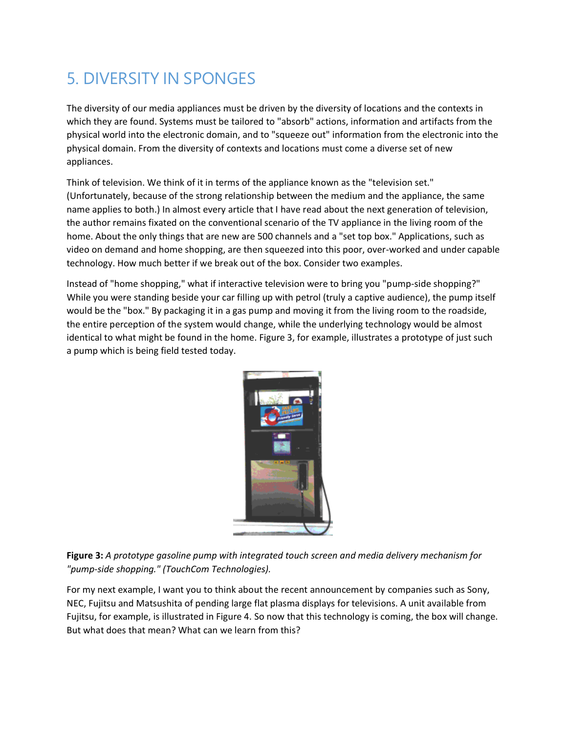## 5. DIVERSITY IN SPONGES

The diversity of our media appliances must be driven by the diversity of locations and the contexts in which they are found. Systems must be tailored to "absorb" actions, information and artifacts from the physical world into the electronic domain, and to "squeeze out" information from the electronic into the physical domain. From the diversity of contexts and locations must come a diverse set of new appliances.

Think of television. We think of it in terms of the appliance known as the "television set." (Unfortunately, because of the strong relationship between the medium and the appliance, the same name applies to both.) In almost every article that I have read about the next generation of television, the author remains fixated on the conventional scenario of the TV appliance in the living room of the home. About the only things that are new are 500 channels and a "set top box." Applications, such as video on demand and home shopping, are then squeezed into this poor, over-worked and under capable technology. How much better if we break out of the box. Consider two examples.

Instead of "home shopping," what if interactive television were to bring you "pump-side shopping?" While you were standing beside your car filling up with petrol (truly a captive audience), the pump itself would be the "box." By packaging it in a gas pump and moving it from the living room to the roadside, the entire perception of the system would change, while the underlying technology would be almost identical to what might be found in the home. Figure 3, for example, illustrates a prototype of just such a pump which is being field tested today.



**Figure 3:** *A prototype gasoline pump with integrated touch screen and media delivery mechanism for "pump-side shopping." (TouchCom Technologies).*

For my next example, I want you to think about the recent announcement by companies such as Sony, NEC, Fujitsu and Matsushita of pending large flat plasma displays for televisions. A unit available from Fujitsu, for example, is illustrated in Figure 4. So now that this technology is coming, the box will change. But what does that mean? What can we learn from this?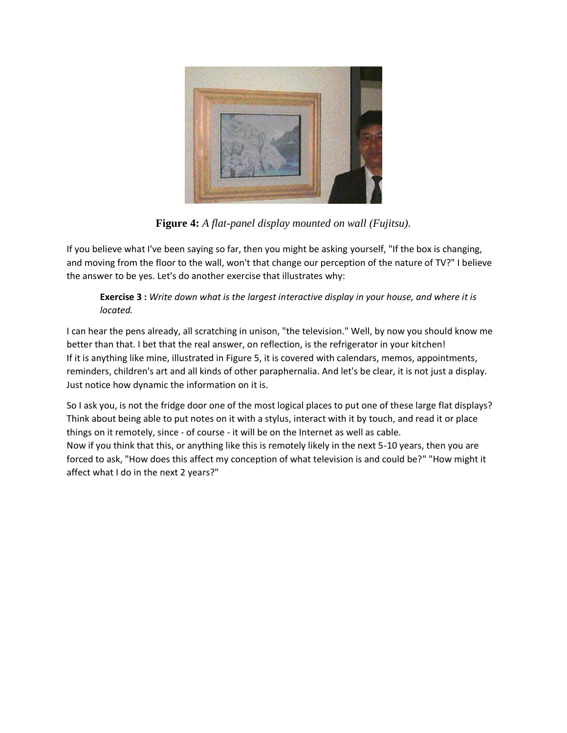

**Figure 4:** *A flat-panel display mounted on wall (Fujitsu).*

If you believe what I've been saying so far, then you might be asking yourself, "If the box is changing, and moving from the floor to the wall, won't that change our perception of the nature of TV?" I believe the answer to be yes. Let's do another exercise that illustrates why:

#### **Exercise 3 :** *Write down what is the largest interactive display in your house, and where it is located.*

I can hear the pens already, all scratching in unison, "the television." Well, by now you should know me better than that. I bet that the real answer, on reflection, is the refrigerator in your kitchen! If it is anything like mine, illustrated in Figure 5, it is covered with calendars, memos, appointments, reminders, children's art and all kinds of other paraphernalia. And let's be clear, it is not just a display. Just notice how dynamic the information on it is.

So I ask you, is not the fridge door one of the most logical places to put one of these large flat displays? Think about being able to put notes on it with a stylus, interact with it by touch, and read it or place things on it remotely, since - of course - it will be on the Internet as well as cable. Now if you think that this, or anything like this is remotely likely in the next 5-10 years, then you are forced to ask, "How does this affect my conception of what television is and could be?" "How might it affect what I do in the next 2 years?"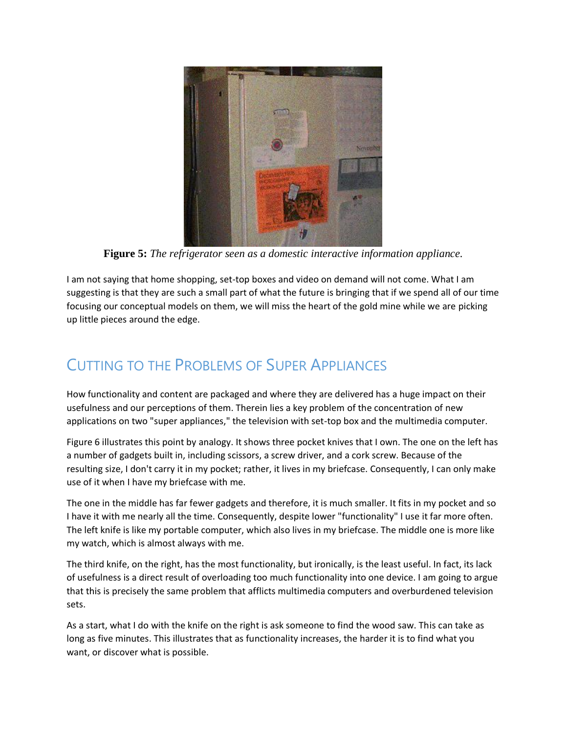

**Figure 5:** *The refrigerator seen as a domestic interactive information appliance.*

I am not saying that home shopping, set-top boxes and video on demand will not come. What I am suggesting is that they are such a small part of what the future is bringing that if we spend all of our time focusing our conceptual models on them, we will miss the heart of the gold mine while we are picking up little pieces around the edge.

### CUTTING TO THE PROBLEMS OF SUPER APPLIANCES

How functionality and content are packaged and where they are delivered has a huge impact on their usefulness and our perceptions of them. Therein lies a key problem of the concentration of new applications on two "super appliances," the television with set-top box and the multimedia computer.

Figure 6 illustrates this point by analogy. It shows three pocket knives that I own. The one on the left has a number of gadgets built in, including scissors, a screw driver, and a cork screw. Because of the resulting size, I don't carry it in my pocket; rather, it lives in my briefcase. Consequently, I can only make use of it when I have my briefcase with me.

The one in the middle has far fewer gadgets and therefore, it is much smaller. It fits in my pocket and so I have it with me nearly all the time. Consequently, despite lower "functionality" I use it far more often. The left knife is like my portable computer, which also lives in my briefcase. The middle one is more like my watch, which is almost always with me.

The third knife, on the right, has the most functionality, but ironically, is the least useful. In fact, its lack of usefulness is a direct result of overloading too much functionality into one device. I am going to argue that this is precisely the same problem that afflicts multimedia computers and overburdened television sets.

As a start, what I do with the knife on the right is ask someone to find the wood saw. This can take as long as five minutes. This illustrates that as functionality increases, the harder it is to find what you want, or discover what is possible.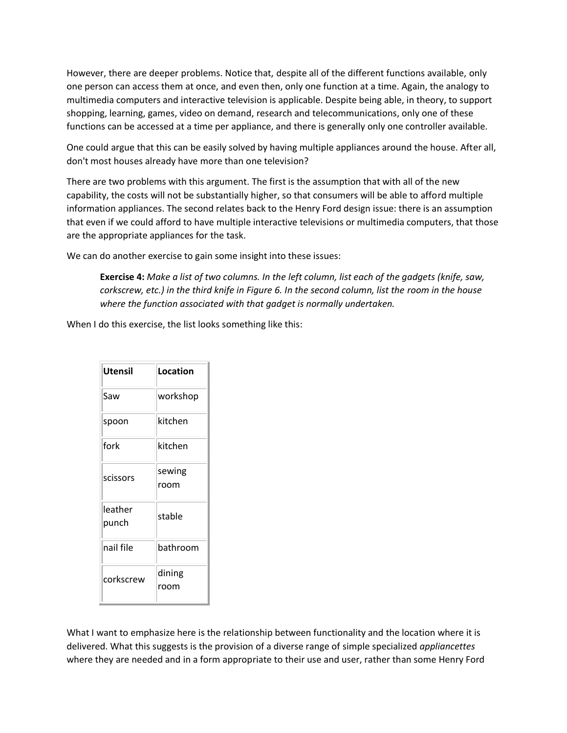However, there are deeper problems. Notice that, despite all of the different functions available, only one person can access them at once, and even then, only one function at a time. Again, the analogy to multimedia computers and interactive television is applicable. Despite being able, in theory, to support shopping, learning, games, video on demand, research and telecommunications, only one of these functions can be accessed at a time per appliance, and there is generally only one controller available.

One could argue that this can be easily solved by having multiple appliances around the house. After all, don't most houses already have more than one television?

There are two problems with this argument. The first is the assumption that with all of the new capability, the costs will not be substantially higher, so that consumers will be able to afford multiple information appliances. The second relates back to the Henry Ford design issue: there is an assumption that even if we could afford to have multiple interactive televisions or multimedia computers, that those are the appropriate appliances for the task.

We can do another exercise to gain some insight into these issues:

**Exercise 4:** *Make a list of two columns. In the left column, list each of the gadgets (knife, saw, corkscrew, etc.) in the third knife in Figure 6. In the second column, list the room in the house where the function associated with that gadget is normally undertaken.*

When I do this exercise, the list looks something like this:

| Utensil          | Location |
|------------------|----------|
| Saw              | workshop |
| spoon            | kitchen  |
| fork             | kitchen  |
| scissors         | sewing   |
|                  | room     |
| leather<br>punch | stable   |
|                  |          |
| nail file        | bathroom |
| corkscrew        | dining   |
|                  | room     |

What I want to emphasize here is the relationship between functionality and the location where it is delivered. What this suggests is the provision of a diverse range of simple specialized *appliancettes* where they are needed and in a form appropriate to their use and user, rather than some Henry Ford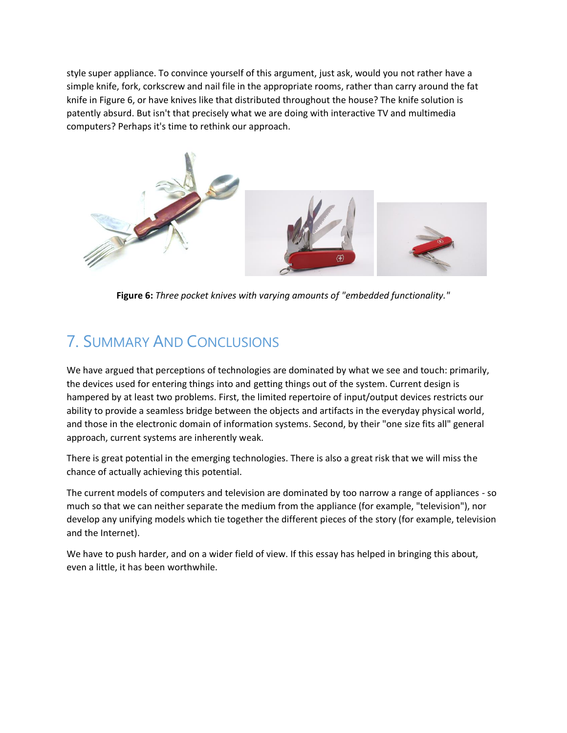style super appliance. To convince yourself of this argument, just ask, would you not rather have a simple knife, fork, corkscrew and nail file in the appropriate rooms, rather than carry around the fat knife in Figure 6, or have knives like that distributed throughout the house? The knife solution is patently absurd. But isn't that precisely what we are doing with interactive TV and multimedia computers? Perhaps it's time to rethink our approach.



**Figure 6:** *Three pocket knives with varying amounts of "embedded functionality."*

## 7. SUMMARY AND CONCLUSIONS

We have argued that perceptions of technologies are dominated by what we see and touch: primarily, the devices used for entering things into and getting things out of the system. Current design is hampered by at least two problems. First, the limited repertoire of input/output devices restricts our ability to provide a seamless bridge between the objects and artifacts in the everyday physical world, and those in the electronic domain of information systems. Second, by their "one size fits all" general approach, current systems are inherently weak.

There is great potential in the emerging technologies. There is also a great risk that we will miss the chance of actually achieving this potential.

The current models of computers and television are dominated by too narrow a range of appliances - so much so that we can neither separate the medium from the appliance (for example, "television"), nor develop any unifying models which tie together the different pieces of the story (for example, television and the Internet).

We have to push harder, and on a wider field of view. If this essay has helped in bringing this about, even a little, it has been worthwhile.